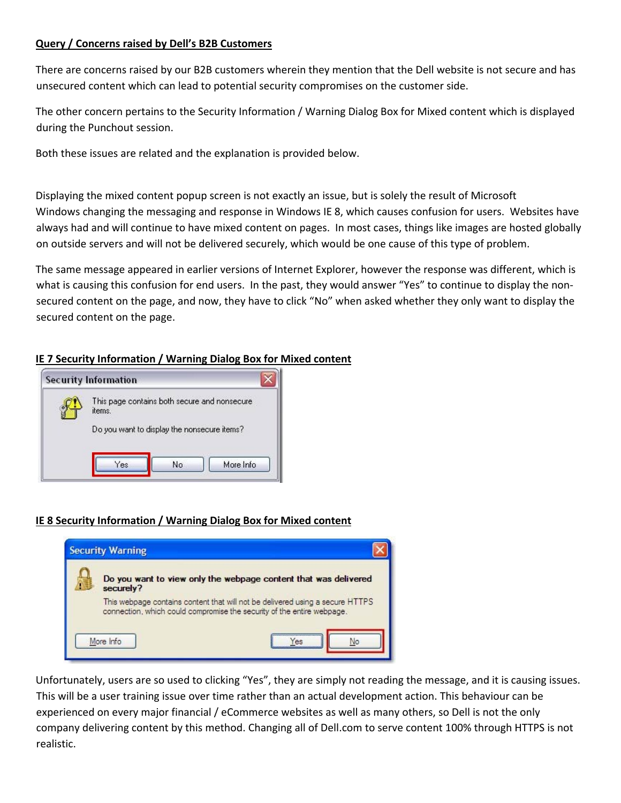#### **Query / Concerns raised by Dell's B2B Customers**

There are concerns raised by our B2B customers wherein they mention that the Dell website is not secure and has unsecured content which can lead to potential security compromises on the customer side.

The other concern pertains to the Security Information / Warning Dialog Box for Mixed content which is displayed during the Punchout session.

Both these issues are related and the explanation is provided below.

Displaying the mixed content popup screen is not exactly an issue, but is solely the result of Microsoft Windows changing the messaging and response in Windows IE 8, which causes confusion for users. Websites have always had and will continue to have mixed content on pages. In most cases, things like images are hosted globally on outside servers and will not be delivered securely, which would be one cause of this type of problem.

The same message appeared in earlier versions of Internet Explorer, however the response was different, which is what is causing this confusion for end users. In the past, they would answer "Yes" to continue to display the nonsecured content on the page, and now, they have to click "No" when asked whether they only want to display the secured content on the page.

# **IE 7 Security Information / Warning Dialog Box for Mixed content**



# **IE 8 Security Information / Warning Dialog Box for Mixed content**



Unfortunately, users are so used to clicking "Yes", they are simply not reading the message, and it is causing issues. This will be a user training issue over time rather than an actual development action. This behaviour can be experienced on every major financial / eCommerce websites as well as many others, so Dell is not the only company delivering content by this method. Changing all of Dell.com to serve content 100% through HTTPS is not realistic.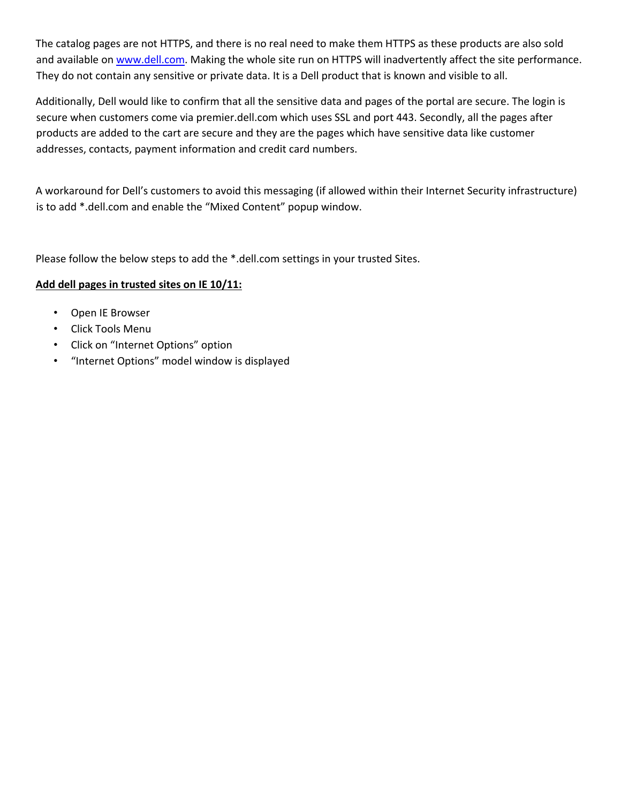The catalog pages are not HTTPS, and there is no real need to make them HTTPS as these products are also sold and available on www.dell.com. Making the whole site run on HTTPS will inadvertently affect the site performance. They do not contain any sensitive or private data. It is a Dell product that is known and visible to all.

Additionally, Dell would like to confirm that all the sensitive data and pages of the portal are secure. The login is secure when customers come via premier.dell.com which uses SSL and port 443. Secondly, all the pages after products are added to the cart are secure and they are the pages which have sensitive data like customer addresses, contacts, payment information and credit card numbers.

A workaround for Dell's customers to avoid this messaging (if allowed within their Internet Security infrastructure) is to add \*.dell.com and enable the "Mixed Content" popup window.

Please follow the below steps to add the \*.dell.com settings in your trusted Sites.

### **Add dell pages in trusted sites on IE 10/11:**

- Open IE Browser
- Click Tools Menu
- Click on "Internet Options" option
- "Internet Options" model window is displayed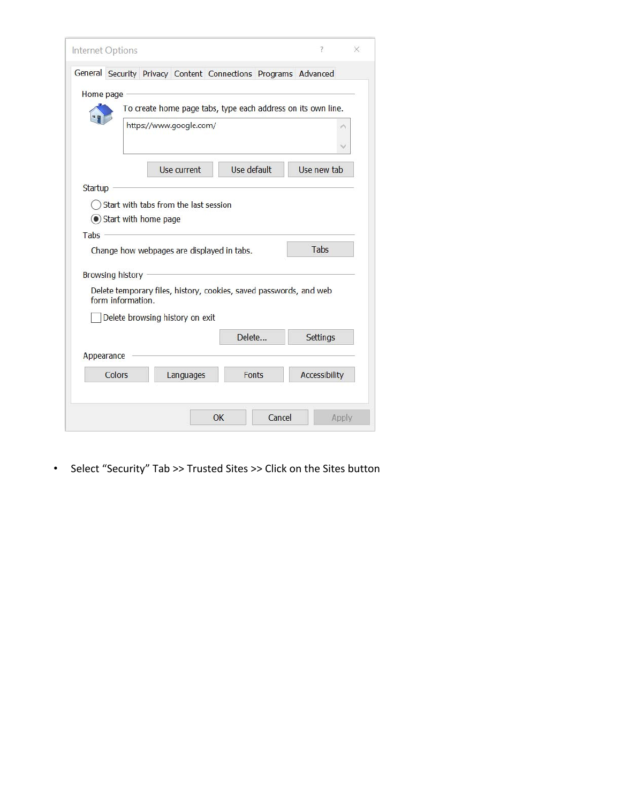|                | Internet Options                      |                         |                                                                    | 7.                   |  |
|----------------|---------------------------------------|-------------------------|--------------------------------------------------------------------|----------------------|--|
|                |                                       |                         | General Security Privacy Content Connections Programs Advanced     |                      |  |
|                | Home page                             |                         |                                                                    |                      |  |
|                |                                       |                         | To create home page tabs, type each address on its own line.       |                      |  |
|                |                                       | https://www.google.com/ |                                                                    |                      |  |
|                |                                       |                         |                                                                    |                      |  |
|                |                                       | Use current             | Use default                                                        | Use new tab          |  |
| <b>Startup</b> |                                       |                         |                                                                    |                      |  |
|                | Start with tabs from the last session |                         |                                                                    |                      |  |
|                | Start with home page                  |                         |                                                                    |                      |  |
|                |                                       |                         |                                                                    |                      |  |
|                |                                       |                         |                                                                    |                      |  |
|                |                                       |                         | Change how webpages are displayed in tabs.                         | Tabs                 |  |
|                |                                       |                         |                                                                    |                      |  |
|                | <b>Browsing history</b>               |                         |                                                                    |                      |  |
|                | form information.                     |                         | Delete temporary files, history, cookies, saved passwords, and web |                      |  |
|                | Delete browsing history on exit       |                         |                                                                    |                      |  |
|                |                                       |                         | Delete                                                             | <b>Settings</b>      |  |
| Tabs           | Appearance                            |                         |                                                                    |                      |  |
|                | Colors                                | Languages               | Fonts                                                              | <b>Accessibility</b> |  |
|                |                                       |                         |                                                                    |                      |  |

• Select "Security" Tab >> Trusted Sites >> Click on the Sites button

L,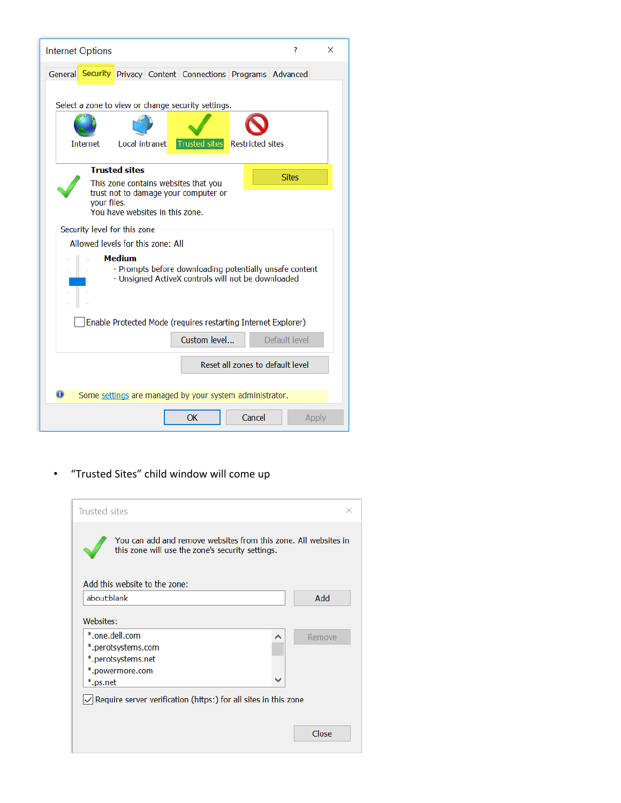| <b>Internet Options</b>                                                                                                        |                                                                         |                      |                         | ?             | X |
|--------------------------------------------------------------------------------------------------------------------------------|-------------------------------------------------------------------------|----------------------|-------------------------|---------------|---|
| General Security Privacy Content Connections Programs Advanced                                                                 |                                                                         |                      |                         |               |   |
|                                                                                                                                | Select a zone to view or change security settings.                      |                      |                         |               |   |
| <b>Internet</b>                                                                                                                | Local intranet                                                          | <b>Trusted sites</b> | <b>Restricted sites</b> |               |   |
|                                                                                                                                |                                                                         |                      |                         |               |   |
|                                                                                                                                | <b>Trusted sites</b><br>This zone contains websites that you            |                      |                         | <b>Sites</b>  |   |
| vour files.                                                                                                                    | trust not to damage your computer or<br>You have websites in this zone. |                      |                         |               |   |
| Security level for this zone                                                                                                   |                                                                         |                      |                         |               |   |
|                                                                                                                                | Allowed levels for this zone: All                                       |                      |                         |               |   |
| <b>Medium</b><br>- Prompts before downloading potentially unsafe content<br>- Unsigned ActiveX controls will not be downloaded |                                                                         |                      |                         |               |   |
| Enable Protected Mode (requires restarting Internet Explorer)                                                                  |                                                                         |                      |                         |               |   |
|                                                                                                                                |                                                                         | Custom level         |                         | Default level |   |
| Reset all zones to default level                                                                                               |                                                                         |                      |                         |               |   |
| $\bigoplus$<br>Some settings are managed by your system administrator.                                                         |                                                                         |                      |                         |               |   |
|                                                                                                                                |                                                                         | OK                   | Cancel                  | Apply         |   |

• "Trusted Sites" child window will come up

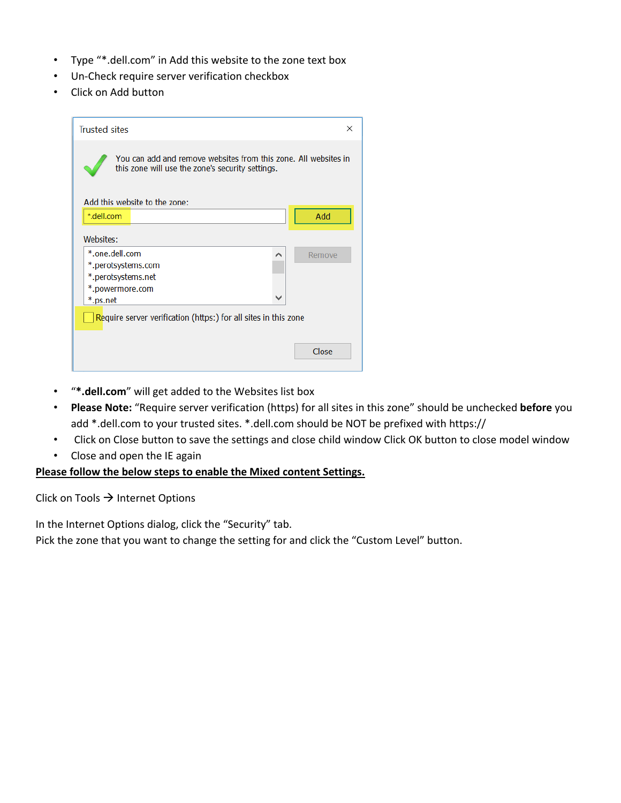- Type "\*.dell.com" in Add this website to the zone text box
- Un‐Check require server verification checkbox
- Click on Add button

| <b>Trusted sites</b> |                                                                                                                     |              | ×      |
|----------------------|---------------------------------------------------------------------------------------------------------------------|--------------|--------|
|                      | You can add and remove websites from this zone. All websites in<br>this zone will use the zone's security settings. |              |        |
|                      | Add this website to the zone:                                                                                       |              |        |
| *.dell.com           |                                                                                                                     |              | Add    |
| Websites:            |                                                                                                                     |              |        |
| *.one.dell.com       |                                                                                                                     | ∧            | Remove |
|                      | *.perotsystems.com                                                                                                  |              |        |
|                      | *.perotsystems.net                                                                                                  |              |        |
| *.powermore.com      |                                                                                                                     | $\checkmark$ |        |
| *.ps.net             |                                                                                                                     |              |        |
|                      | Require server verification (https:) for all sites in this zone                                                     |              |        |
|                      |                                                                                                                     |              |        |
|                      |                                                                                                                     |              | Close  |
|                      |                                                                                                                     |              |        |
|                      |                                                                                                                     |              |        |

- "**\*.dell.com**" will get added to the Websites list box
- **Please Note:** "Require server verification (https) for all sites in this zone" should be unchecked **before** you add \*.dell.com to your trusted sites. \*.dell.com should be NOT be prefixed with https://
- Click on Close button to save the settings and close child window Click OK button to close model window
- Close and open the IE again

#### **Please follow the below steps to enable the Mixed content Settings.**

Click on Tools  $\rightarrow$  Internet Options

In the Internet Options dialog, click the "Security" tab.

Pick the zone that you want to change the setting for and click the "Custom Level" button.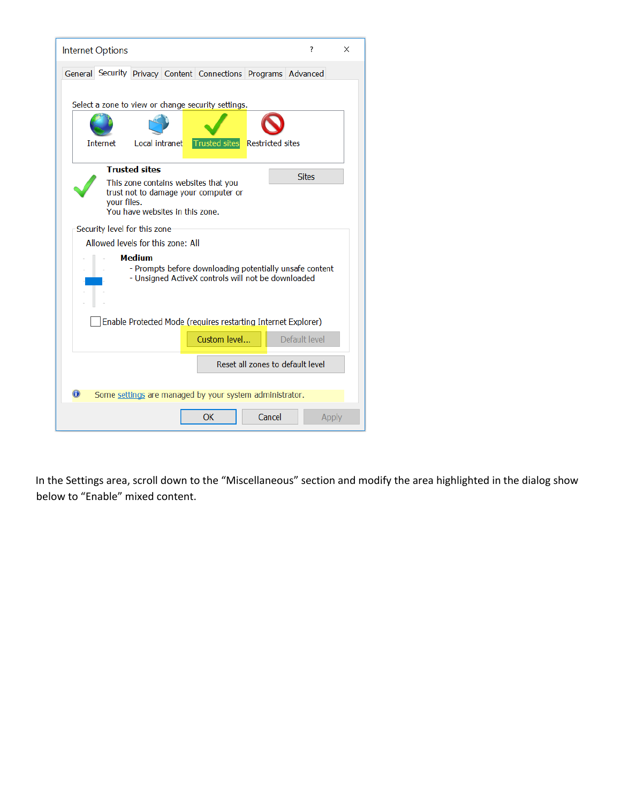| ?<br><b>Internet Options</b>                                                                                                                                           | × |  |  |  |  |  |
|------------------------------------------------------------------------------------------------------------------------------------------------------------------------|---|--|--|--|--|--|
| General Security Privacy Content Connections Programs Advanced                                                                                                         |   |  |  |  |  |  |
| Select a zone to view or change security settings.                                                                                                                     |   |  |  |  |  |  |
|                                                                                                                                                                        |   |  |  |  |  |  |
| Local intranet<br><b>Trusted sites</b><br><b>Internet</b><br><b>Restricted sites</b>                                                                                   |   |  |  |  |  |  |
| <b>Trusted sites</b><br><b>Sites</b><br>This zone contains websites that you<br>trust not to damage your computer or<br>vour files.<br>You have websites in this zone. |   |  |  |  |  |  |
| Security level for this zone                                                                                                                                           |   |  |  |  |  |  |
| Allowed levels for this zone: All                                                                                                                                      |   |  |  |  |  |  |
| <b>Medium</b><br>- Prompts before downloading potentially unsafe content<br>- Unsigned ActiveX controls will not be downloaded                                         |   |  |  |  |  |  |
| Enable Protected Mode (requires restarting Internet Explorer)                                                                                                          |   |  |  |  |  |  |
| Custom level<br>Default level                                                                                                                                          |   |  |  |  |  |  |
| Reset all zones to default level                                                                                                                                       |   |  |  |  |  |  |
| $\mathbf 0$<br>Some settings are managed by your system administrator.                                                                                                 |   |  |  |  |  |  |
| Cancel<br><b>OK</b><br>Apply                                                                                                                                           |   |  |  |  |  |  |

In the Settings area, scroll down to the "Miscellaneous" section and modify the area highlighted in the dialog show below to "Enable" mixed content.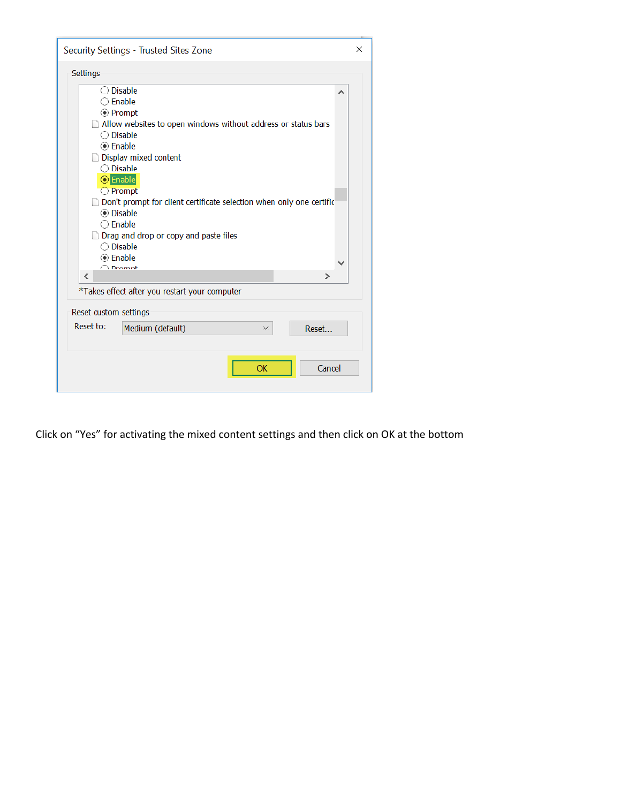| Security Settings - Trusted Sites Zone                                      | ×            |
|-----------------------------------------------------------------------------|--------------|
| Settings                                                                    |              |
| $\bigcirc$ Disable                                                          | ∧            |
| $\bigcirc$ Enable                                                           |              |
| ◉ Prompt                                                                    |              |
| $\Box$ Allow websites to open windows without address or status bars        |              |
| ◯ Disable                                                                   |              |
|                                                                             |              |
| Display mixed content                                                       |              |
| $\bigcirc$ Disable                                                          |              |
| O Enable                                                                    |              |
| $\bigcirc$ Prompt                                                           |              |
| $\Box$ Don't prompt for client certificate selection when only one certific |              |
| <b>◉</b> Disable                                                            |              |
| $\bigcirc$ Enable                                                           |              |
| Drag and drop or copy and paste files                                       |              |
| $\bigcirc$ Disable                                                          |              |
|                                                                             | $\checkmark$ |
| O Dromnt                                                                    |              |
| ⋖<br>⋗                                                                      |              |
| *Takes effect after you restart your computer                               |              |
| Reset custom settings                                                       |              |
| Reset to:<br>Medium (default)<br>Reset                                      |              |
|                                                                             |              |
|                                                                             |              |
| Cancel<br>OK                                                                |              |
|                                                                             |              |
|                                                                             |              |

Click on "Yes" for activating the mixed content settings and then click on OK at the bottom